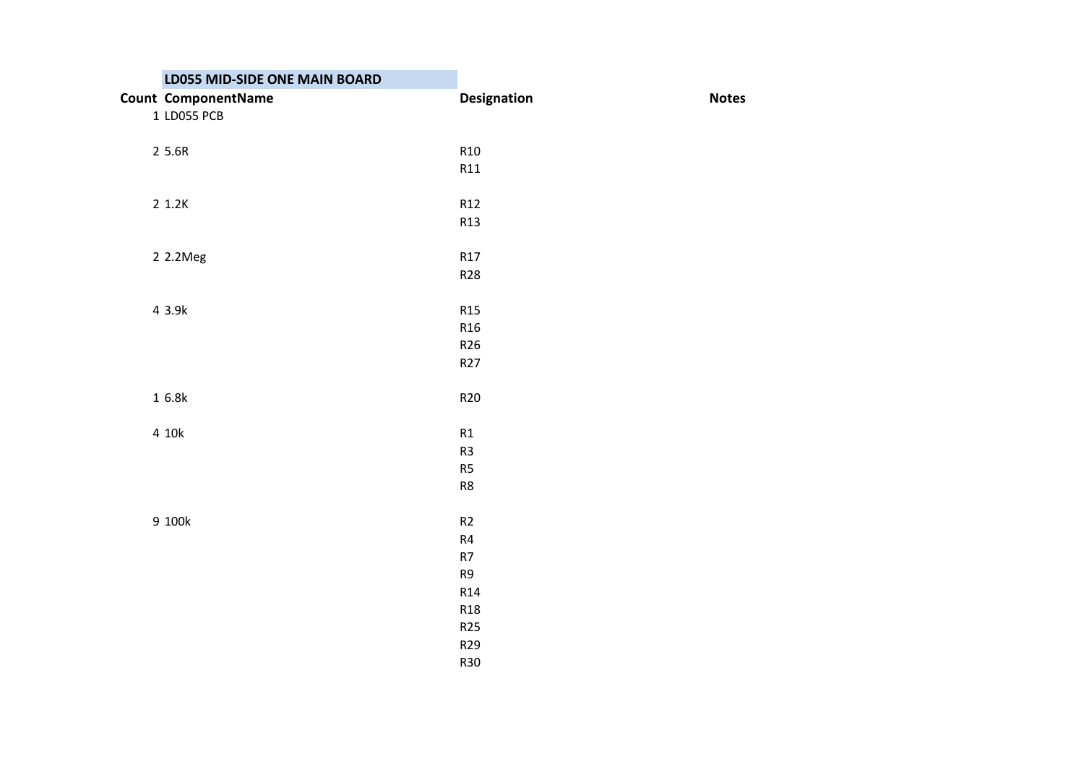| LD055 MID-SIDE ONE MAIN BOARD |                        |              |
|-------------------------------|------------------------|--------------|
| <b>Count ComponentName</b>    | <b>Designation</b>     | <b>Notes</b> |
| 1 LD055 PCB                   |                        |              |
|                               |                        |              |
| 2 5.6R                        | R10                    |              |
|                               | R11                    |              |
|                               |                        |              |
| 2 1.2K                        | R12                    |              |
|                               | R13                    |              |
|                               |                        |              |
| 2 2.2Meg                      | R17<br>R <sub>28</sub> |              |
|                               |                        |              |
| 4 3.9k                        | R <sub>15</sub>        |              |
|                               | R <sub>16</sub>        |              |
|                               | R26                    |              |
|                               | R <sub>27</sub>        |              |
|                               |                        |              |
| 16.8k                         | R <sub>20</sub>        |              |
|                               |                        |              |
| 4 10k                         | R1                     |              |
|                               | R <sub>3</sub>         |              |
|                               | R5                     |              |
|                               | R8                     |              |
|                               |                        |              |
| 9 100k                        | R2                     |              |
|                               | ${\sf R4}$             |              |
|                               | $\mathsf{R}7$          |              |
|                               | R9                     |              |
|                               | R14                    |              |
|                               | <b>R18</b>             |              |
|                               | R25                    |              |
|                               | R29                    |              |
|                               | <b>R30</b>             |              |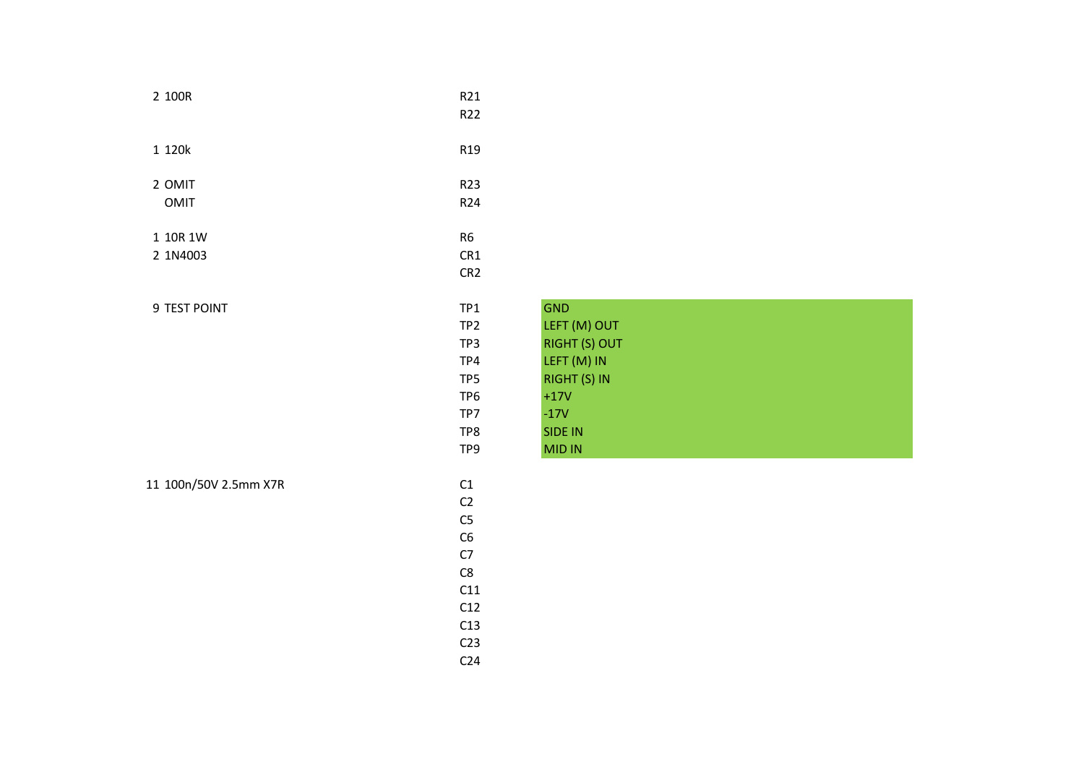| 2 100R | R <sub>21</sub> |
|--------|-----------------|
|        | R <sub>22</sub> |

| 1 120k | R <sub>19</sub> |
|--------|-----------------|
|        |                 |

- 2 OMIT<br>
OMIT R24 OMIT R24
- 1 10R 1W R6<br>2 1N4003 CR1 2 1N4003

CR2

TP<sub>2</sub> TP3  $TP4$ TP5 TP6 TP7 TP8

C2 C5 C6 C7 C8 C11 C12 C13 C23 C24

### 9 TEST POINT TP1

11 100n/50V 2.5mm X7R C1

| TP1             | <b>GND</b>           |
|-----------------|----------------------|
| TP <sub>2</sub> | LEFT (M) OUT         |
| TP3             | <b>RIGHT (S) OUT</b> |
| TP4             | LEFT (M) IN          |
| TP5             | RIGHT (S) IN         |
| TP <sub>6</sub> | $+17V$               |
| TP7             | $-17V$               |
| TP8             | <b>SIDE IN</b>       |
| TP <sub>9</sub> | <b>MID IN</b>        |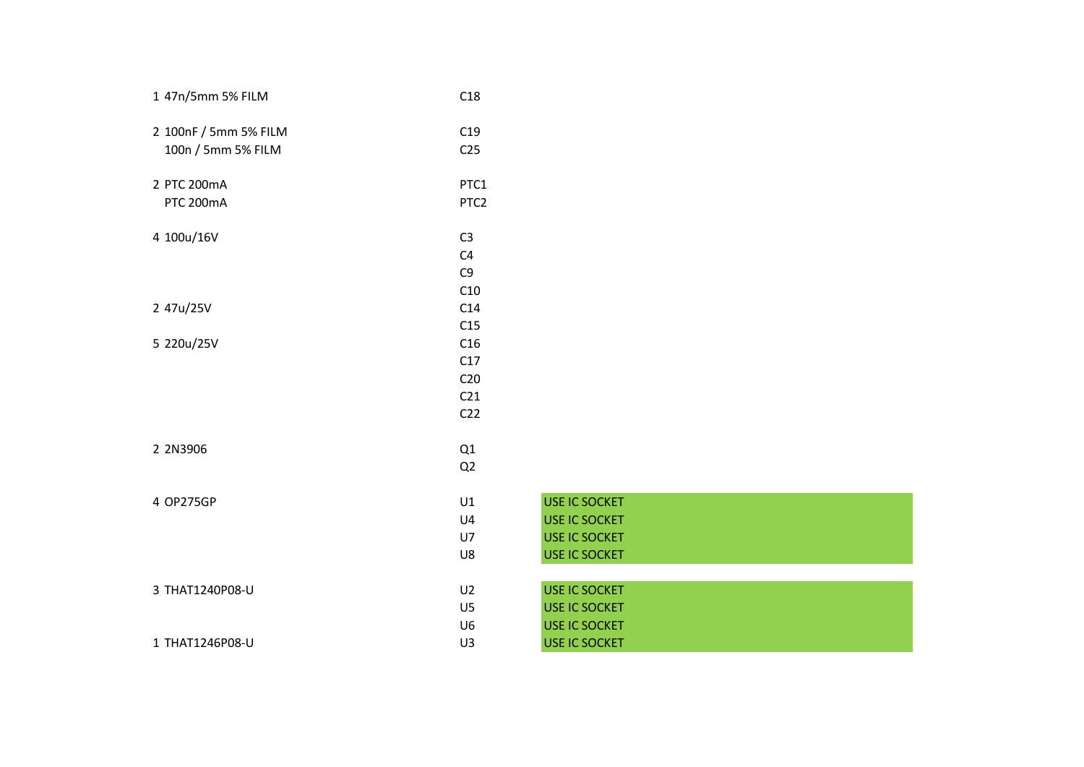| 1 47n/5mm 5% FILM | C <sub>18</sub> |
|-------------------|-----------------|
|                   |                 |

- 2 100nF / 5mm 5% FILM C19 100n / 5mm 5% FILM C25
- 2 PTC 200mA PTC1<br>PTC 200mA PTC 200mA **PTC 200mA**
- 4 100u/16V C3  $C<sub>4</sub>$
- C9 C10
- 2 47u/25V C14 C15
- 5 220u/25V C16 C17
- C20 C21 C22
- 2 2N3906 Q1 Q2
- A OP275GP U1 USE IC SOCKET
- 
- 3 THAT1240P08-U 

and the contract of the contract of the contract of the contract of the contract of the contract of the contract of the contract of the contract of the contract of the contract of the contract of the cont
	-

1 THAT1246P08-U U3 USE IC SOCKET

- U4 USE IC SOCKET U7 USE IC SOCKET U8 USE IC SOCKET U5 USE IC SOCKET U6 USE IC SOCKET
- 
-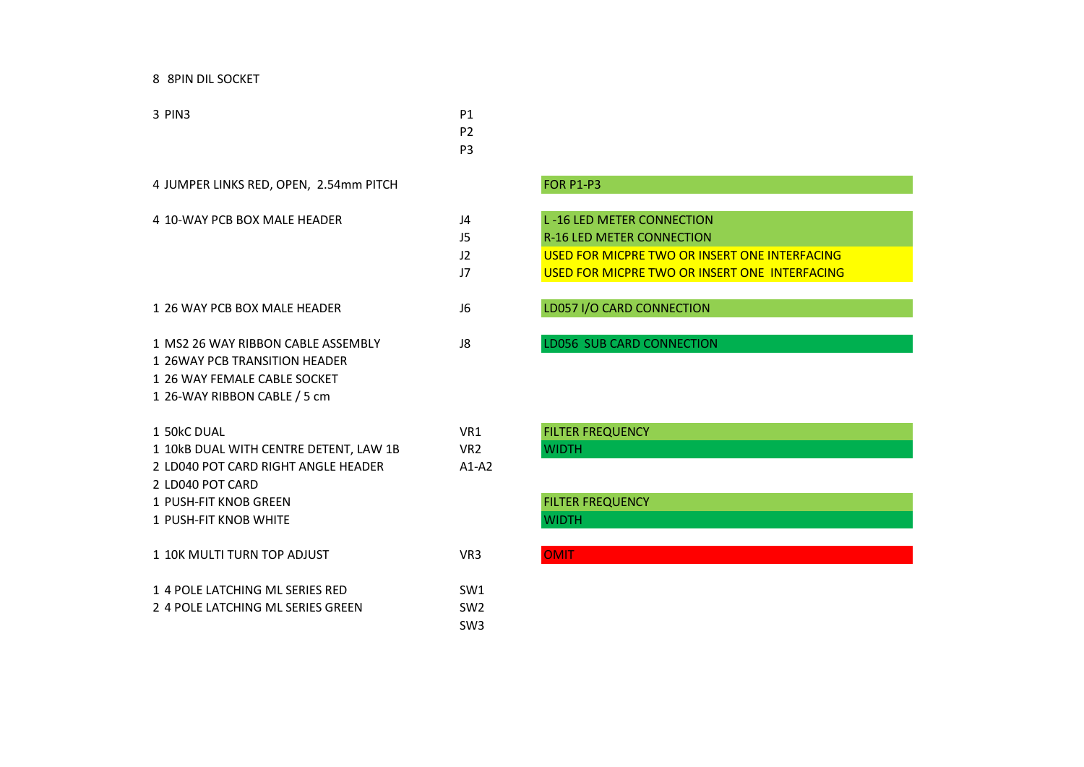#### 8 8PIN DIL SOCKET

| 3 PIN3 | P1             |
|--------|----------------|
|        | P <sub>2</sub> |
|        | P <sub>3</sub> |

| 4 10-WAY PCB BOX MALE HEADER                                                                                                                                       | J4<br>15<br>12<br>J7                                  | <b>L-16 LED METER CONNECTION</b><br><b>R-16 LED METER CONNECTION</b><br>USED FOR MICPRE TWO OR IN!<br>USED FOR MICPRE TWO OR IN! |
|--------------------------------------------------------------------------------------------------------------------------------------------------------------------|-------------------------------------------------------|----------------------------------------------------------------------------------------------------------------------------------|
| 1 26 WAY PCB BOX MALE HEADER                                                                                                                                       | J6                                                    | LD057 I/O CARD CONNECTION                                                                                                        |
| 1 MS2 26 WAY RIBBON CABLE ASSEMBLY<br>1 26WAY PCB TRANSITION HEADER<br>1 26 WAY FEMALE CABLE SOCKET<br>1 26-WAY RIBBON CABLE / 5 cm                                | 18                                                    | LD056 SUB CARD CONNECTION                                                                                                        |
| 1 50kC DUAL<br>1 10kB DUAL WITH CENTRE DETENT, LAW 1B<br>2 LD040 POT CARD RIGHT ANGLE HEADER<br>2 LD040 POT CARD<br>1 PUSH-FIT KNOB GREEN<br>1 PUSH-FIT KNOB WHITE | VR1<br>VR <sub>2</sub><br>$A1-A2$                     | <b>FILTER FREQUENCY</b><br><b>WIDTH</b><br><b>FILTER FREQUENCY</b><br><b>WIDTH</b>                                               |
| 1 10K MULTI TURN TOP ADJUST                                                                                                                                        | VR <sub>3</sub>                                       | <b>OMIT</b>                                                                                                                      |
| 1 4 POLE LATCHING ML SERIES RED<br>2 4 POLE LATCHING ML SERIES GREEN                                                                                               | SW <sub>1</sub><br>SW <sub>2</sub><br>SW <sub>3</sub> |                                                                                                                                  |

# 4 JUMPER LINKS RED, OPEN, 2.54mm PITCH FOR P1-P3

P2 P3

| J4 | L-16 LED METER CONNECTION                     |
|----|-----------------------------------------------|
| J5 | <b>R-16 LED METER CONNECTION</b>              |
| J2 | USED FOR MICPRE TWO OR INSERT ONE INTERFACING |
| رر | USED FOR MICPRE TWO OR INSERT ONE INTERFACING |
|    |                                               |
| J6 | LD057 I/O CARD CONNECTION                     |
|    |                                               |
| J8 | LD056 SUB CARD CONNECTION                     |

| FILTER FREQUENCY |  |
|------------------|--|
| WIDTH            |  |
|                  |  |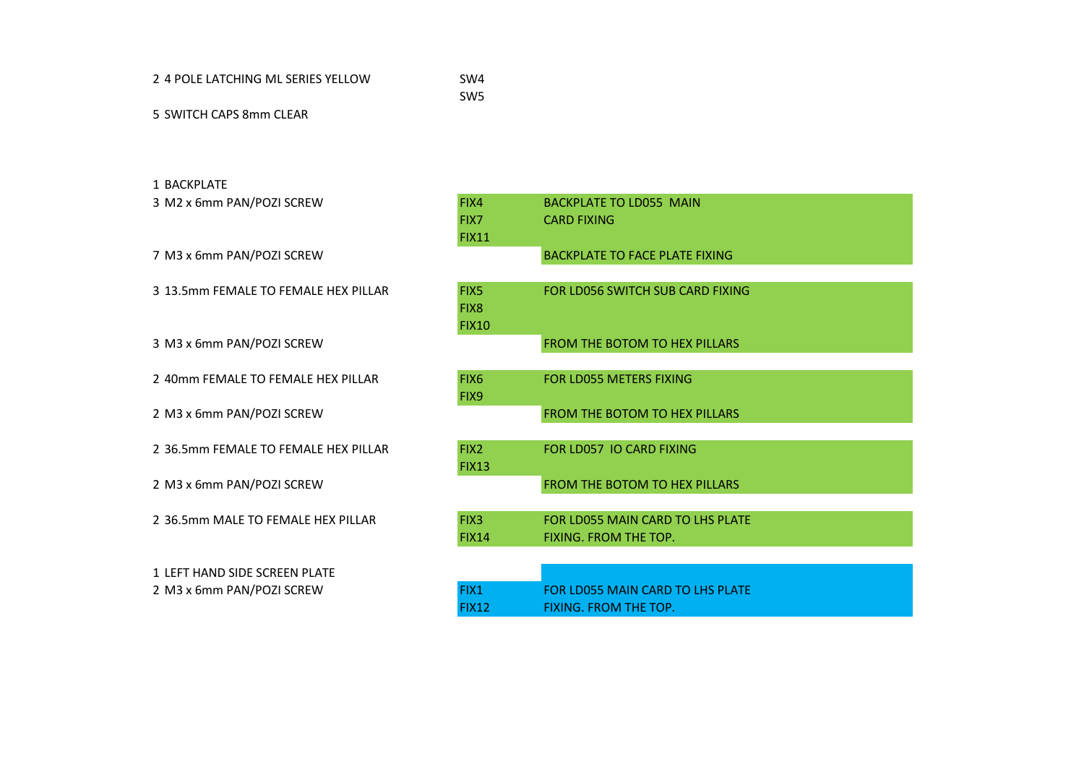| 2 4 POLE LATCHING ML SERIES YELLOW | SW4             |
|------------------------------------|-----------------|
|                                    | SW <sub>5</sub> |

5 SWITCH CAPS 8mm CLEAR

3 M2 x 6mm PAN/POZI SCREW

- 7 M3 x 6mm PAN/POZI SCREW
- 3 13.5mm FEMALE TO FEMALE HEX PILLAR
- 3 M3 x 6mm PAN/POZI SCREW
- 2 40mm FEMALE TO FEMALE HEX PILLAR
- 2 M3 x 6mm PAN/POZI SCREW
- 2 36.5mm FEMALE TO FEMALE HEX PILLAR
- 2 M3 x 6mm PAN/POZI SCREW
- 2 36.5mm MALE TO FEMALE HEX PILLAR

1 LEFT HAND SIDE SCREEN PLATE 2 M3 x 6mm PAN/POZI SCREW

| FIX4             | <b>BACKPLATE TO LD055 MAIN</b>        |
|------------------|---------------------------------------|
| FIX7             | <b>CARD FIXING</b>                    |
| <b>FIX11</b>     |                                       |
|                  | <b>BACKPLATE TO FACE PLATE FIXING</b> |
|                  |                                       |
| FIX5             | FOR LD056 SWITCH SUB CARD FIXING      |
| FIX <sub>8</sub> |                                       |
| <b>FIX10</b>     |                                       |
|                  | <b>FROM THE BOTOM TO HEX PILLARS</b>  |
|                  |                                       |
| FIX <sub>6</sub> | FOR LD055 METERS FIXING               |
| FIX9             |                                       |
|                  | <b>FROM THE BOTOM TO HEX PILLARS</b>  |
|                  |                                       |
| FIX <sub>2</sub> | FOR LD057 IO CARD FIXING              |
| <b>FIX13</b>     |                                       |
|                  | <b>FROM THE BOTOM TO HEX PILLARS</b>  |
|                  |                                       |
| FIX3             | FOR LD055 MAIN CARD TO LHS PLATE      |
| <b>FIX14</b>     | FIXING. FROM THE TOP.                 |
|                  |                                       |
|                  |                                       |
| FIX <sub>1</sub> | FOR LD055 MAIN CARD TO LHS PLATE      |
| <b>FIX12</b>     | FIXING. FROM THE TOP.                 |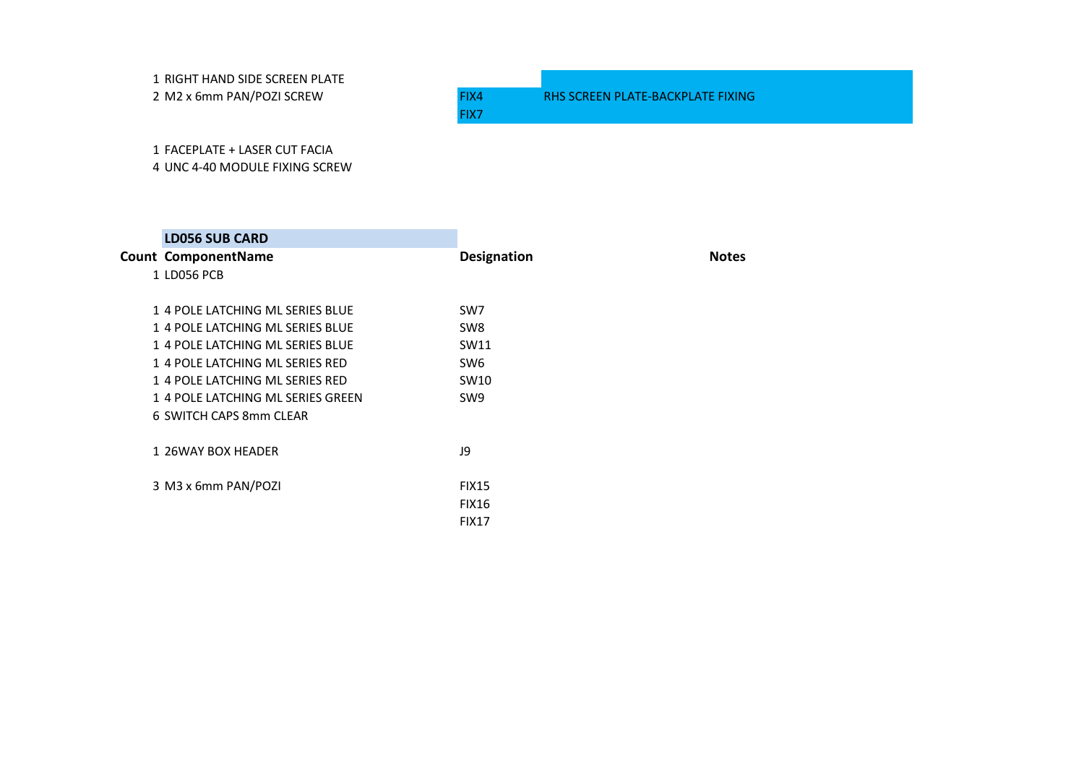RIGHT HAND SIDE SCREEN PLATE

FIX7

## 2 M2 x 6mm PAN/POZI SCREW FIX4 RHS SCREEN PLATE-BACKPLATE FIXING

FACEPLATE + LASER CUT FACIA

UNC 4-40 MODULE FIXING SCREW

| <b>LD056 SUB CARD</b>             |                    |              |
|-----------------------------------|--------------------|--------------|
| Count ComponentName               | <b>Designation</b> | <b>Notes</b> |
| 1 LD056 PCB                       |                    |              |
|                                   |                    |              |
| 1 4 POLE LATCHING ML SERIES BLUE  | SW7                |              |
| 1 4 POLE LATCHING ML SERIES BLUE  | SW8                |              |
| 1 4 POLE LATCHING ML SERIES BLUE  | SW11               |              |
| 1 4 POLE LATCHING ML SERIES RED   | SW <sub>6</sub>    |              |
| 14 POLE LATCHING ML SERIES RED    | SW10               |              |
| 1 4 POLE LATCHING ML SERIES GREEN | SW9                |              |
| 6 SWITCH CAPS 8mm CLEAR           |                    |              |
|                                   |                    |              |
| 1 26WAY BOX HEADER                | 19                 |              |
|                                   |                    |              |
| 3 M3 x 6mm PAN/POZI               | <b>FIX15</b>       |              |
|                                   | <b>FIX16</b>       |              |
|                                   | <b>FIX17</b>       |              |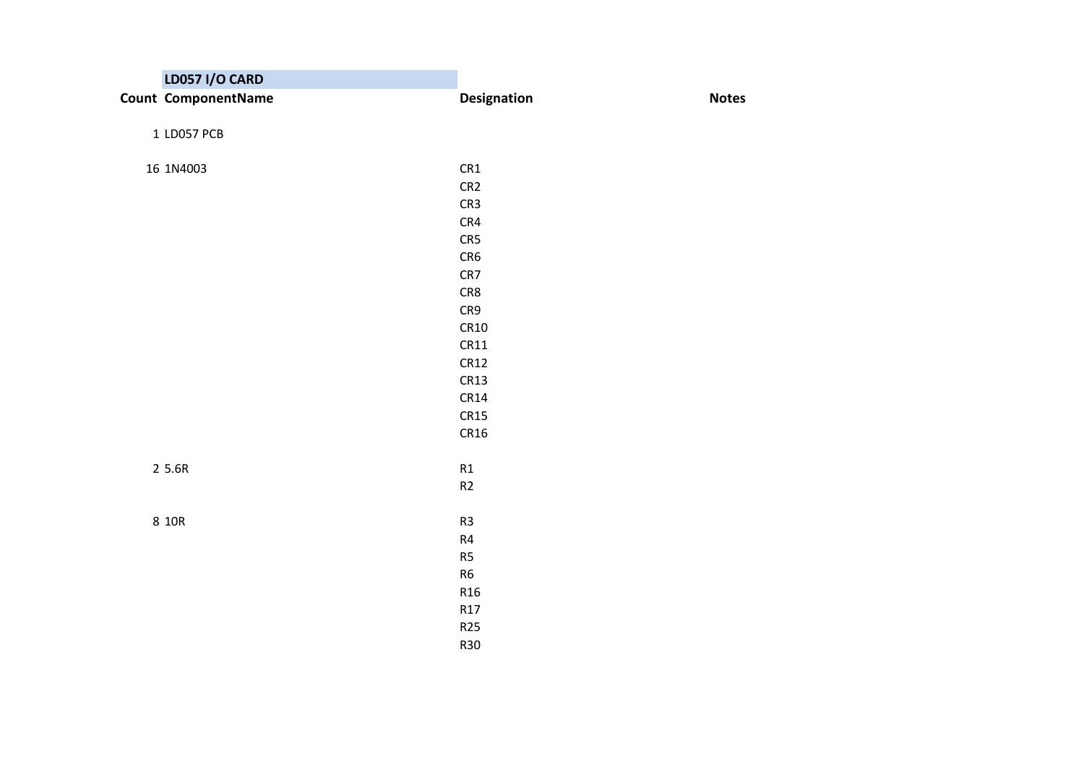| <b>LD057 I/O CARD</b>      |                    |              |
|----------------------------|--------------------|--------------|
| <b>Count ComponentName</b> | <b>Designation</b> | <b>Notes</b> |
|                            |                    |              |
| 1 LD057 PCB                |                    |              |
| 16 1N4003                  | CR1                |              |
|                            | CR <sub>2</sub>    |              |
|                            | CR3                |              |
|                            | CR4                |              |
|                            | CR5                |              |
|                            | CR6                |              |
|                            | CR7                |              |
|                            | CR8                |              |
|                            | CR9                |              |
|                            | CR10               |              |
|                            | CR11               |              |
|                            | CR12               |              |
|                            | CR13               |              |
|                            | CR14               |              |
|                            | CR15               |              |
|                            | CR16               |              |
| 2 5.6R                     | R1                 |              |
|                            | R2                 |              |
|                            |                    |              |
| 8 10R                      | R <sub>3</sub>     |              |
|                            | R4                 |              |
|                            | R <sub>5</sub>     |              |
|                            | ${\sf R6}$         |              |
|                            | R <sub>16</sub>    |              |
|                            | R17                |              |
|                            | R25                |              |
|                            | <b>R30</b>         |              |
|                            |                    |              |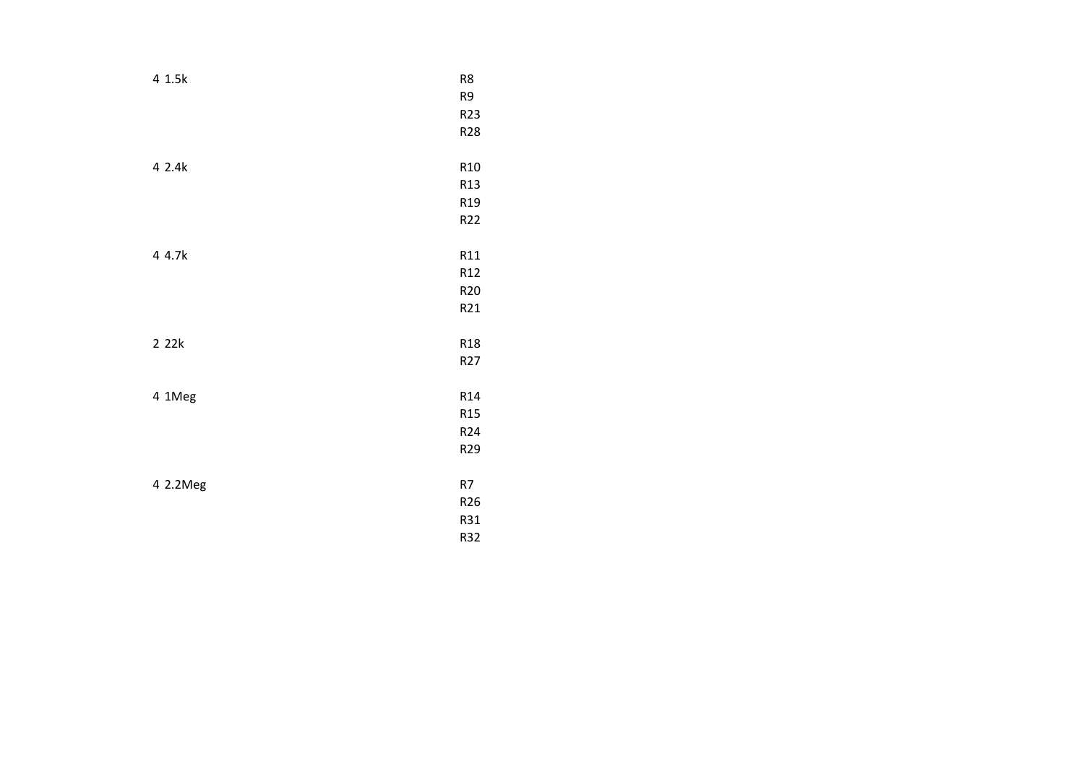| 4 1.5k   | R8<br>R9<br>R23<br>R28             |
|----------|------------------------------------|
| 4 2.4k   | R <sub>10</sub><br>R <sub>13</sub> |
|          | R <sub>19</sub>                    |
|          | R22                                |
|          |                                    |
| 4 4.7k   | R11                                |
|          | R12                                |
|          | R20                                |
|          | R21                                |
|          |                                    |
| 2 22k    | R <sub>18</sub>                    |
|          | R27                                |
|          |                                    |
| 4 1Meg   | R <sub>14</sub>                    |
|          | R <sub>15</sub>                    |
|          | R24                                |
|          | R <sub>29</sub>                    |
|          |                                    |
| 4 2.2Meg | R7                                 |
|          | R <sub>26</sub>                    |
|          | R31                                |
|          | R32                                |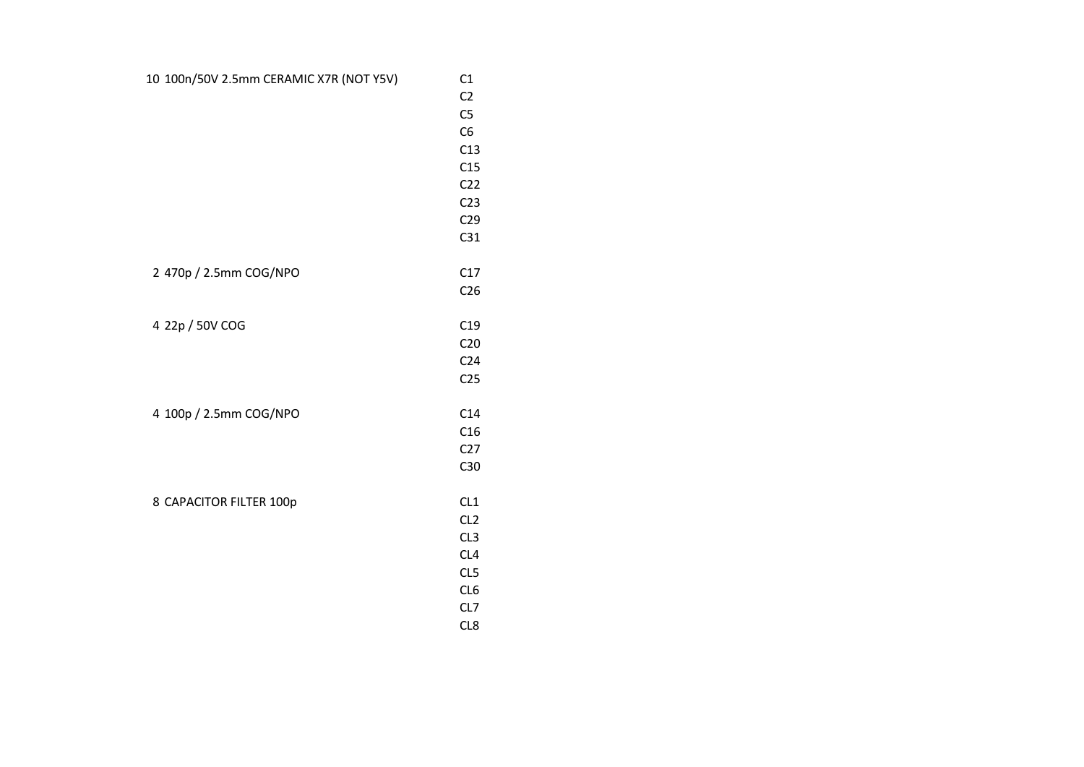| 10 100n/50V 2.5mm CERAMIC X7R (NOT Y5V) | C1              |
|-----------------------------------------|-----------------|
|                                         | C <sub>2</sub>  |
|                                         | C <sub>5</sub>  |
|                                         | C6              |
|                                         | C13             |
|                                         | C15             |
|                                         | C <sub>22</sub> |
|                                         | C <sub>23</sub> |
|                                         | C <sub>29</sub> |
|                                         | C <sub>31</sub> |
|                                         |                 |
| 2 470p / 2.5mm COG/NPO                  | C17             |
|                                         | C <sub>26</sub> |
|                                         |                 |
| 4 22p / 50V COG                         | C19             |
|                                         | C <sub>20</sub> |
|                                         | C <sub>24</sub> |
|                                         | C <sub>25</sub> |
|                                         |                 |
| 4 100p / 2.5mm COG/NPO                  | C14             |
|                                         | C16             |
|                                         | C <sub>27</sub> |
|                                         | C30             |
|                                         |                 |
| 8 CAPACITOR FILTER 100p                 | CL <sub>1</sub> |
|                                         | CL <sub>2</sub> |
|                                         | CL <sub>3</sub> |
|                                         | CL <sub>4</sub> |
|                                         | CL5             |
|                                         | CL <sub>6</sub> |
|                                         | CL7             |
|                                         | CL8             |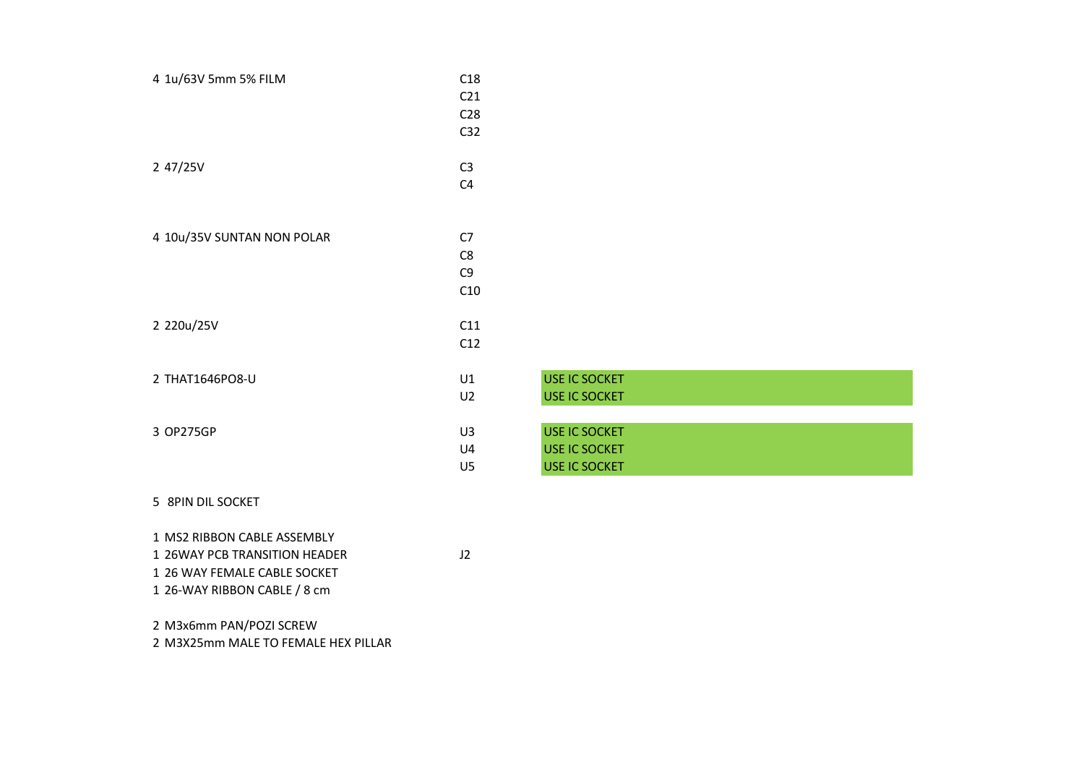| 4 1u/63V 5mm 5% FILM       | C18<br>C <sub>21</sub><br>C <sub>28</sub><br>C <sub>32</sub> |
|----------------------------|--------------------------------------------------------------|
| 2 47/25V                   | C <sub>3</sub><br>C <sub>4</sub>                             |
| 4 10u/35V SUNTAN NON POLAR | C7<br>C <sub>8</sub><br>C <sub>9</sub><br>C10                |
| 2 220u/25V                 | C <sub>11</sub><br>C <sub>12</sub>                           |

| C12      |                                |
|----------|--------------------------------|
| U1<br>U2 | USE IC SOCKET<br>USE IC SOCKET |
|          |                                |
| U3       | USE IC SOCKET                  |
| U4       | USE IC SOCKET                  |
| U5       | USE IC SOCKET                  |

#### 5 8PIN DIL SOCKET

2 THAT1646PO8-U

3 OP275GP

- 1 MS2 RIBBON CABLE ASSEMBLY
- 1 26WAY PCB TRANSITION HEADER J2
- 1 26 WAY FEMALE CABLE SOCKET
- 1 26-WAY RIBBON CABLE / 8 cm
- 2 M3x6mm PAN/POZI SCREW

2 M3X25mm MALE TO FEMALE HEX PILLAR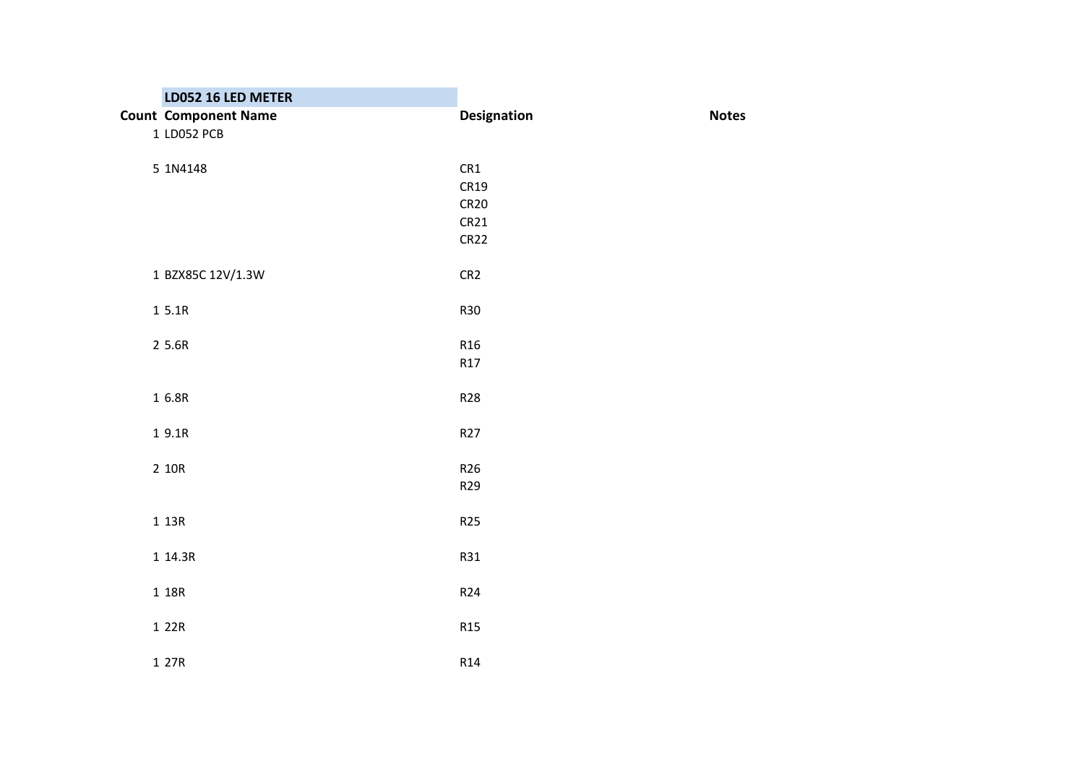| <b>Designation</b><br><b>Count Component Name</b><br><b>Notes</b><br>1 LD052 PCB<br>5 1N4148<br>CR1<br>CR19<br><b>CR20</b><br>CR21<br><b>CR22</b><br>1 BZX85C 12V/1.3W<br>CR <sub>2</sub><br>15.1R<br><b>R30</b><br>2 5.6R<br>R <sub>16</sub><br>R17<br>1 6.8R<br>R28<br>1 9.1R<br>R <sub>27</sub><br>2 10R<br>R <sub>26</sub><br>R <sub>29</sub><br>1 13R<br>R <sub>25</sub><br>R31<br>1 14.3R<br>1 18R<br>R <sub>24</sub><br>1 22R<br>R <sub>15</sub><br>1 27R<br>R14 | LD052 16 LED METER |  |
|-------------------------------------------------------------------------------------------------------------------------------------------------------------------------------------------------------------------------------------------------------------------------------------------------------------------------------------------------------------------------------------------------------------------------------------------------------------------------|--------------------|--|
|                                                                                                                                                                                                                                                                                                                                                                                                                                                                         |                    |  |
|                                                                                                                                                                                                                                                                                                                                                                                                                                                                         |                    |  |
|                                                                                                                                                                                                                                                                                                                                                                                                                                                                         |                    |  |
|                                                                                                                                                                                                                                                                                                                                                                                                                                                                         |                    |  |
|                                                                                                                                                                                                                                                                                                                                                                                                                                                                         |                    |  |
|                                                                                                                                                                                                                                                                                                                                                                                                                                                                         |                    |  |
|                                                                                                                                                                                                                                                                                                                                                                                                                                                                         |                    |  |
|                                                                                                                                                                                                                                                                                                                                                                                                                                                                         |                    |  |
|                                                                                                                                                                                                                                                                                                                                                                                                                                                                         |                    |  |
|                                                                                                                                                                                                                                                                                                                                                                                                                                                                         |                    |  |
|                                                                                                                                                                                                                                                                                                                                                                                                                                                                         |                    |  |
|                                                                                                                                                                                                                                                                                                                                                                                                                                                                         |                    |  |
|                                                                                                                                                                                                                                                                                                                                                                                                                                                                         |                    |  |
|                                                                                                                                                                                                                                                                                                                                                                                                                                                                         |                    |  |
|                                                                                                                                                                                                                                                                                                                                                                                                                                                                         |                    |  |
|                                                                                                                                                                                                                                                                                                                                                                                                                                                                         |                    |  |
|                                                                                                                                                                                                                                                                                                                                                                                                                                                                         |                    |  |
|                                                                                                                                                                                                                                                                                                                                                                                                                                                                         |                    |  |
|                                                                                                                                                                                                                                                                                                                                                                                                                                                                         |                    |  |
|                                                                                                                                                                                                                                                                                                                                                                                                                                                                         |                    |  |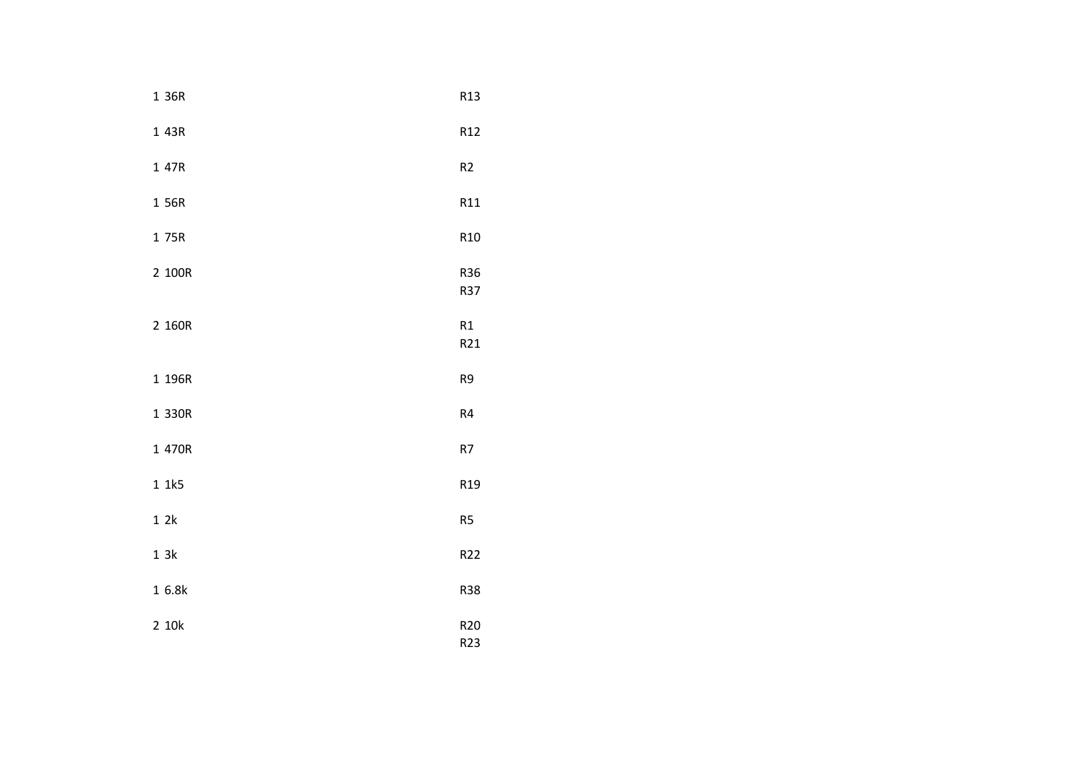- 1 36R R13
- 1 43R R12
- 1 47R R2
- 1 56R R11
- 1 75R R10
- 2 100R R36 R37
- 2 160R R1 R21
- 1 196R R9
- 1 330R R4
- 1 470R R7
- 1 1k5 R19
- $1 2k$
- 1 3k R22
- 1 6.8k R38
- 2 10k R20
	-

R23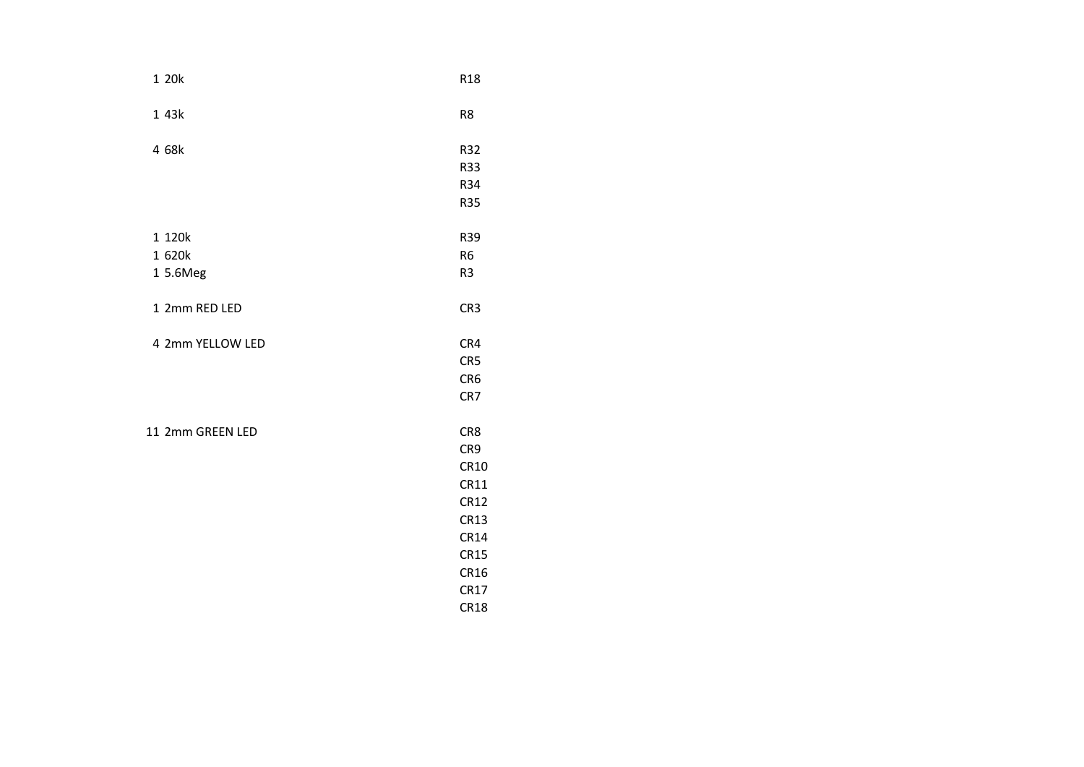| 1 20k | R <sub>18</sub> |
|-------|-----------------|
|       |                 |

- 1 43k R8
- 4 68k R32 R33
- R34
- R35
- 1 120k R39<br>1 620k R6
- 1 620k 1 5.6Meg R3
- 1 2mm RED LED CR3
- 4 2mm YELLOW LED CR4
	-
	-
- 11 2mm GREEN LED CR8
- CR5 CR6 CR7 CR9 CR10 CR11 CR12 CR13 CR14 CR15 CR16
	- CR17
	- CR18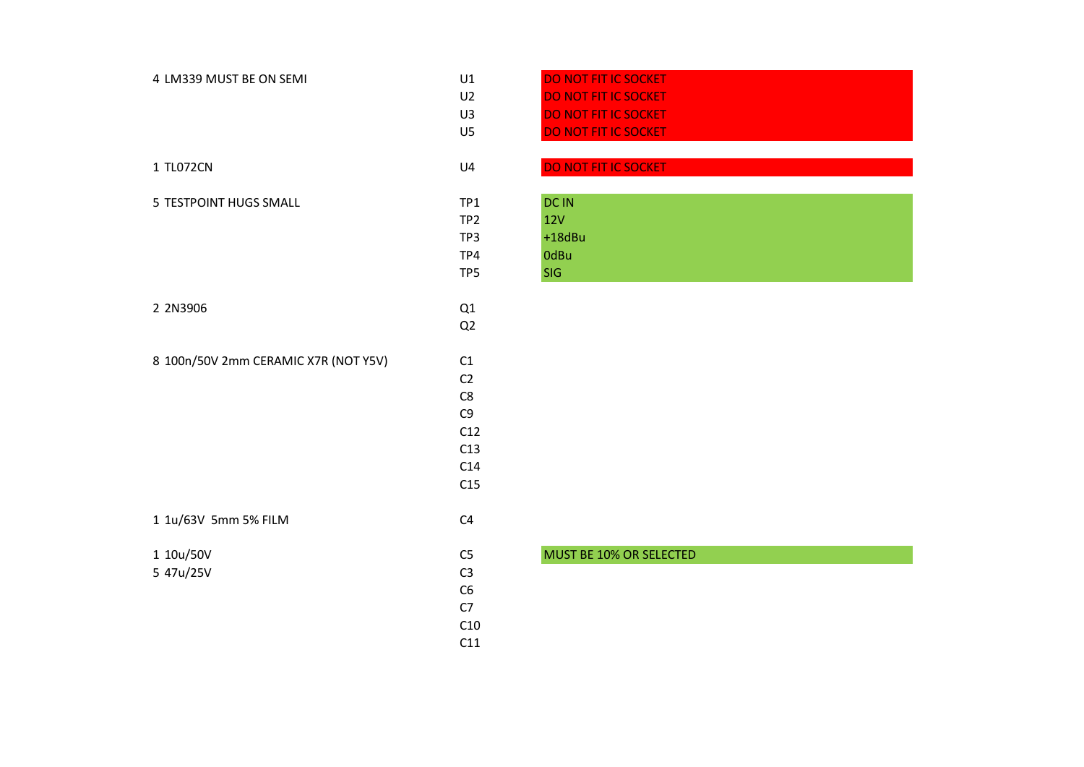| 4 LM339 MUST BE ON SEMI              | U1<br>U <sub>2</sub><br>U3<br>U <sub>5</sub>                             | <b>DO NOT FIT IC SOCKET</b><br><b>DO NOT FIT IC SOCKET</b><br><b>DO NOT FIT IC SOCKET</b><br><b>DO NOT FIT IC SOCKET</b> |
|--------------------------------------|--------------------------------------------------------------------------|--------------------------------------------------------------------------------------------------------------------------|
| 1 TL072CN                            | U <sub>4</sub>                                                           | <b>DO NOT FIT IC SOCKET</b>                                                                                              |
| 5 TESTPOINT HUGS SMALL               | TP1<br>TP <sub>2</sub><br>TP3<br>TP4<br>TP5                              | <b>DCIN</b><br><b>12V</b><br>$+18$ dBu<br>0dBu<br>SIG                                                                    |
| 2 2N3906                             | Q1<br>Q <sub>2</sub>                                                     |                                                                                                                          |
| 8 100n/50V 2mm CERAMIC X7R (NOT Y5V) | C1<br>C <sub>2</sub><br>C8<br>C <sub>9</sub><br>C12<br>C13<br>C14<br>C15 |                                                                                                                          |
| 1 1u/63V 5mm 5% FILM                 | C <sub>4</sub>                                                           |                                                                                                                          |
| 1 10u/50V<br>5 47u/25V               | C <sub>5</sub><br>C <sub>3</sub><br>C <sub>6</sub><br>C7<br>C10<br>C11   | MUST BE 10% OR SELE                                                                                                      |

| U1 | <b>DO NOT FIT IC SOCKET</b> |
|----|-----------------------------|
| U2 | <b>DO NOT FIT IC SOCKET</b> |
| U3 | <b>DO NOT FIT IC SOCKET</b> |
| U5 | <b>DO NOT FIT IC SOCKET</b> |
|    |                             |

|  |  | <b>DO NOT FIT IC SOCKET</b> |
|--|--|-----------------------------|
|  |  |                             |

| TP1 | <b>DC IN</b> |
|-----|--------------|
| TP2 | 12V          |
| TP3 | $+18$ dBu    |
| TP4 | <b>OdBu</b>  |
| TP5 | SIG.         |

## MUST BE 10% OR SELECTED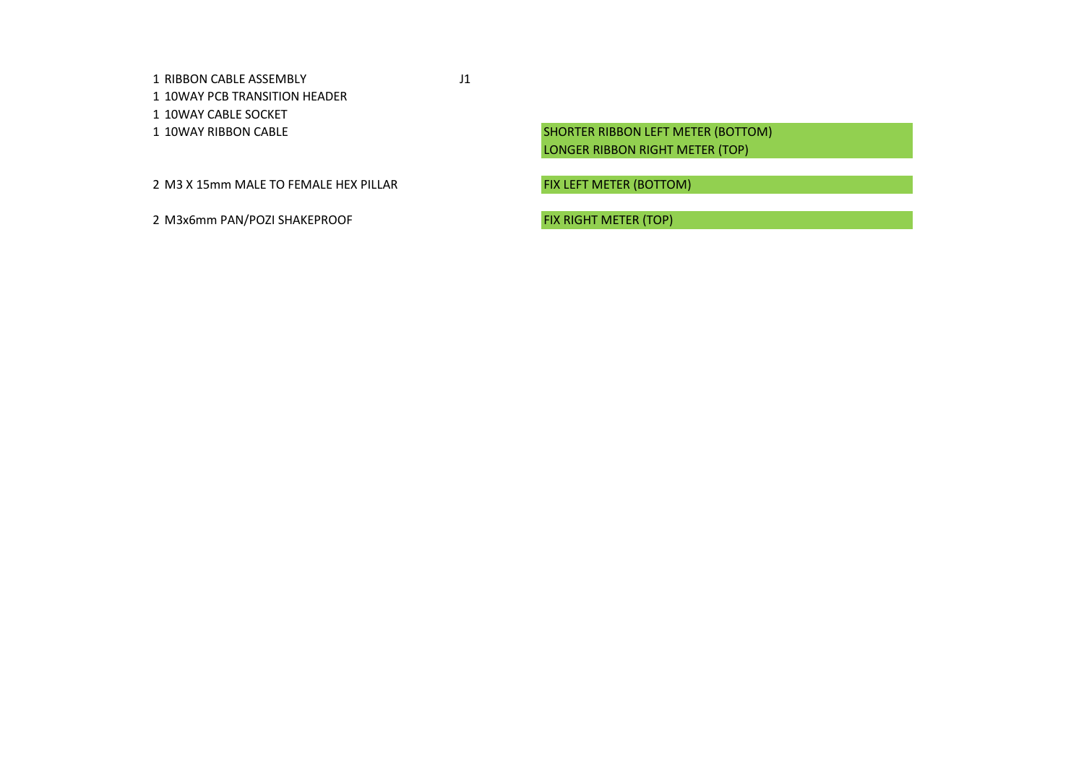1 RIBBON CABLE ASSEMBLY **1** 1

1 10WAY PCB TRANSITION HEADER

1 10WAY CABLE SOCKET

1 10WAY RIBBON CABLE **SHORTER RIBBON LEFT METER (BOTTOM)** 

LONGER RIBBON RIGHT METER (TOP)

2 M3 X 15mm MALE TO FEMALE HEX PILLAR FIX LEFT METER (BOTTOM)

2 M3x6mm PAN/POZI SHAKEPROOF FIX RIGHT METER (TOP)